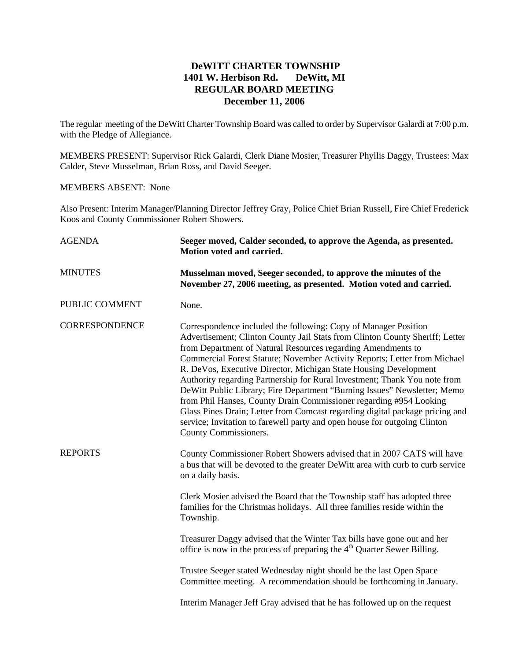# **DeWITT CHARTER TOWNSHIP 1401 W. Herbison Rd. DeWitt, MI REGULAR BOARD MEETING December 11, 2006**

The regular meeting of the DeWitt Charter Township Board was called to order by Supervisor Galardi at 7:00 p.m. with the Pledge of Allegiance.

MEMBERS PRESENT: Supervisor Rick Galardi, Clerk Diane Mosier, Treasurer Phyllis Daggy, Trustees: Max Calder, Steve Musselman, Brian Ross, and David Seeger.

### MEMBERS ABSENT: None

Also Present: Interim Manager/Planning Director Jeffrey Gray, Police Chief Brian Russell, Fire Chief Frederick Koos and County Commissioner Robert Showers.

| <b>AGENDA</b>         | Seeger moved, Calder seconded, to approve the Agenda, as presented.<br>Motion voted and carried.                                                                                                                                                                                                                                                                                                                                                                                                                                                                                                                                                                                                                                                                                      |  |  |
|-----------------------|---------------------------------------------------------------------------------------------------------------------------------------------------------------------------------------------------------------------------------------------------------------------------------------------------------------------------------------------------------------------------------------------------------------------------------------------------------------------------------------------------------------------------------------------------------------------------------------------------------------------------------------------------------------------------------------------------------------------------------------------------------------------------------------|--|--|
| <b>MINUTES</b>        | Musselman moved, Seeger seconded, to approve the minutes of the<br>November 27, 2006 meeting, as presented. Motion voted and carried.                                                                                                                                                                                                                                                                                                                                                                                                                                                                                                                                                                                                                                                 |  |  |
| PUBLIC COMMENT        | None.                                                                                                                                                                                                                                                                                                                                                                                                                                                                                                                                                                                                                                                                                                                                                                                 |  |  |
| <b>CORRESPONDENCE</b> | Correspondence included the following: Copy of Manager Position<br>Advertisement; Clinton County Jail Stats from Clinton County Sheriff; Letter<br>from Department of Natural Resources regarding Amendments to<br>Commercial Forest Statute; November Activity Reports; Letter from Michael<br>R. DeVos, Executive Director, Michigan State Housing Development<br>Authority regarding Partnership for Rural Investment; Thank You note from<br>DeWitt Public Library; Fire Department "Burning Issues" Newsletter; Memo<br>from Phil Hanses, County Drain Commissioner regarding #954 Looking<br>Glass Pines Drain; Letter from Comcast regarding digital package pricing and<br>service; Invitation to farewell party and open house for outgoing Clinton<br>County Commissioners. |  |  |
| <b>REPORTS</b>        | County Commissioner Robert Showers advised that in 2007 CATS will have<br>a bus that will be devoted to the greater DeWitt area with curb to curb service<br>on a daily basis.                                                                                                                                                                                                                                                                                                                                                                                                                                                                                                                                                                                                        |  |  |
|                       | Clerk Mosier advised the Board that the Township staff has adopted three<br>families for the Christmas holidays. All three families reside within the<br>Township.                                                                                                                                                                                                                                                                                                                                                                                                                                                                                                                                                                                                                    |  |  |
|                       | Treasurer Daggy advised that the Winter Tax bills have gone out and her<br>office is now in the process of preparing the 4 <sup>th</sup> Quarter Sewer Billing.                                                                                                                                                                                                                                                                                                                                                                                                                                                                                                                                                                                                                       |  |  |
|                       | Trustee Seeger stated Wednesday night should be the last Open Space<br>Committee meeting. A recommendation should be forthcoming in January.                                                                                                                                                                                                                                                                                                                                                                                                                                                                                                                                                                                                                                          |  |  |
|                       | Interim Manager Jeff Gray advised that he has followed up on the request                                                                                                                                                                                                                                                                                                                                                                                                                                                                                                                                                                                                                                                                                                              |  |  |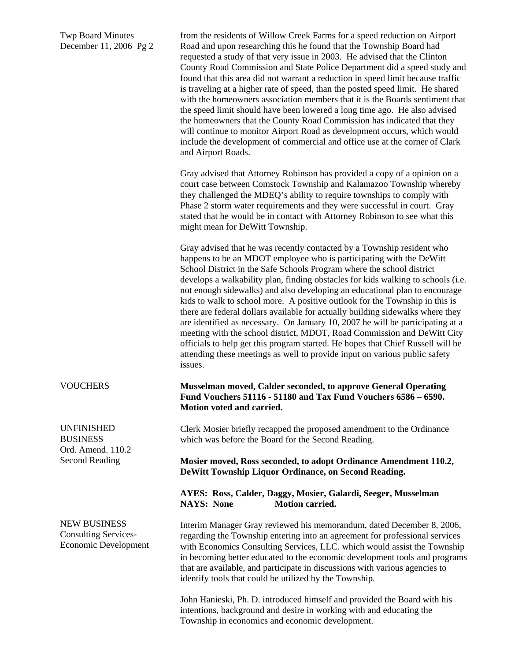Twp Board Minutes December 11, 2006 Pg 2

from the residents of Willow Creek Farms for a speed reduction on Airport Road and upon researching this he found that the Township Board had requested a study of that very issue in 2003. He advised that the Clinton County Road Commission and State Police Department did a speed study and found that this area did not warrant a reduction in speed limit because traffic is traveling at a higher rate of speed, than the posted speed limit. He shared with the homeowners association members that it is the Boards sentiment that the speed limit should have been lowered a long time ago. He also advised the homeowners that the County Road Commission has indicated that they will continue to monitor Airport Road as development occurs, which would include the development of commercial and office use at the corner of Clark and Airport Roads.

Gray advised that Attorney Robinson has provided a copy of a opinion on a court case between Comstock Township and Kalamazoo Township whereby they challenged the MDEQ's ability to require townships to comply with Phase 2 storm water requirements and they were successful in court. Gray stated that he would be in contact with Attorney Robinson to see what this might mean for DeWitt Township.

Gray advised that he was recently contacted by a Township resident who happens to be an MDOT employee who is participating with the DeWitt School District in the Safe Schools Program where the school district develops a walkability plan, finding obstacles for kids walking to schools (i.e. not enough sidewalks) and also developing an educational plan to encourage kids to walk to school more. A positive outlook for the Township in this is there are federal dollars available for actually building sidewalks where they are identified as necessary. On January 10, 2007 he will be participating at a meeting with the school district, MDOT, Road Commission and DeWitt City officials to help get this program started. He hopes that Chief Russell will be attending these meetings as well to provide input on various public safety issues.

### **Musselman moved, Calder seconded, to approve General Operating Fund Vouchers 51116 - 51180 and Tax Fund Vouchers 6586 – 6590. Motion voted and carried.**

Clerk Mosier briefly recapped the proposed amendment to the Ordinance which was before the Board for the Second Reading.

**Mosier moved, Ross seconded, to adopt Ordinance Amendment 110.2, DeWitt Township Liquor Ordinance, on Second Reading.** 

## **AYES: Ross, Calder, Daggy, Mosier, Galardi, Seeger, Musselman NAYS: None Motion carried.**

Interim Manager Gray reviewed his memorandum, dated December 8, 2006, regarding the Township entering into an agreement for professional services with Economics Consulting Services, LLC. which would assist the Township in becoming better educated to the economic development tools and programs that are available, and participate in discussions with various agencies to identify tools that could be utilized by the Township.

John Hanieski, Ph. D. introduced himself and provided the Board with his intentions, background and desire in working with and educating the Township in economics and economic development.

#### **VOUCHERS**

UNFINISHED **BUSINESS** Ord. Amend. 110.2 Second Reading

NEW BUSINESS Consulting Services-Economic Development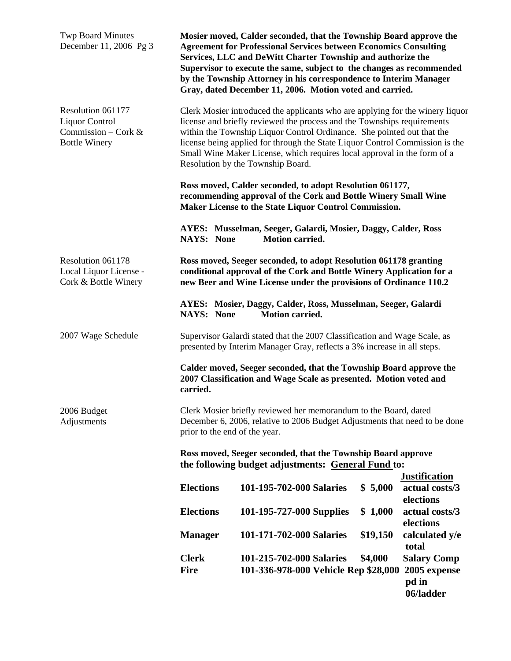| <b>Twp Board Minutes</b><br>December 11, 2006 Pg 3                                 | Mosier moved, Calder seconded, that the Township Board approve the<br><b>Agreement for Professional Services between Economics Consulting</b><br>Services, LLC and DeWitt Charter Township and authorize the<br>Supervisor to execute the same, subject to the changes as recommended<br>by the Township Attorney in his correspondence to Interim Manager<br>Gray, dated December 11, 2006. Motion voted and carried.                                                                                                                                                                                                     |                                      |          |                                                     |  |
|------------------------------------------------------------------------------------|----------------------------------------------------------------------------------------------------------------------------------------------------------------------------------------------------------------------------------------------------------------------------------------------------------------------------------------------------------------------------------------------------------------------------------------------------------------------------------------------------------------------------------------------------------------------------------------------------------------------------|--------------------------------------|----------|-----------------------------------------------------|--|
| Resolution 061177<br>Liquor Control<br>Commission – Cork &<br><b>Bottle Winery</b> | Clerk Mosier introduced the applicants who are applying for the winery liquor<br>license and briefly reviewed the process and the Townships requirements<br>within the Township Liquor Control Ordinance. She pointed out that the<br>license being applied for through the State Liquor Control Commission is the<br>Small Wine Maker License, which requires local approval in the form of a<br>Resolution by the Township Board.<br>Ross moved, Calder seconded, to adopt Resolution 061177,<br>recommending approval of the Cork and Bottle Winery Small Wine<br>Maker License to the State Liquor Control Commission. |                                      |          |                                                     |  |
|                                                                                    |                                                                                                                                                                                                                                                                                                                                                                                                                                                                                                                                                                                                                            |                                      |          |                                                     |  |
|                                                                                    | AYES: Musselman, Seeger, Galardi, Mosier, Daggy, Calder, Ross<br><b>Motion carried.</b><br><b>NAYS: None</b>                                                                                                                                                                                                                                                                                                                                                                                                                                                                                                               |                                      |          |                                                     |  |
| Resolution 061178<br>Local Liquor License -<br>Cork & Bottle Winery                | Ross moved, Seeger seconded, to adopt Resolution 061178 granting<br>conditional approval of the Cork and Bottle Winery Application for a<br>new Beer and Wine License under the provisions of Ordinance 110.2                                                                                                                                                                                                                                                                                                                                                                                                              |                                      |          |                                                     |  |
|                                                                                    | AYES: Mosier, Daggy, Calder, Ross, Musselman, Seeger, Galardi<br><b>Motion carried.</b><br><b>NAYS: None</b>                                                                                                                                                                                                                                                                                                                                                                                                                                                                                                               |                                      |          |                                                     |  |
| 2007 Wage Schedule                                                                 | Supervisor Galardi stated that the 2007 Classification and Wage Scale, as<br>presented by Interim Manager Gray, reflects a 3% increase in all steps.<br>Calder moved, Seeger seconded, that the Township Board approve the<br>2007 Classification and Wage Scale as presented. Motion voted and<br>carried.                                                                                                                                                                                                                                                                                                                |                                      |          |                                                     |  |
|                                                                                    |                                                                                                                                                                                                                                                                                                                                                                                                                                                                                                                                                                                                                            |                                      |          |                                                     |  |
| 2006 Budget<br>Adjustments                                                         | Clerk Mosier briefly reviewed her memorandum to the Board, dated<br>December 6, 2006, relative to 2006 Budget Adjustments that need to be done<br>prior to the end of the year.                                                                                                                                                                                                                                                                                                                                                                                                                                            |                                      |          |                                                     |  |
|                                                                                    | Ross moved, Seeger seconded, that the Township Board approve<br>the following budget adjustments: General Fund to:                                                                                                                                                                                                                                                                                                                                                                                                                                                                                                         |                                      |          |                                                     |  |
|                                                                                    | <b>Elections</b>                                                                                                                                                                                                                                                                                                                                                                                                                                                                                                                                                                                                           | 101-195-702-000 Salaries             | \$5,000  | <b>Justification</b><br>actual costs/3<br>elections |  |
|                                                                                    | <b>Elections</b>                                                                                                                                                                                                                                                                                                                                                                                                                                                                                                                                                                                                           | 101-195-727-000 Supplies             | \$1,000  | actual costs/3<br>elections                         |  |
|                                                                                    | <b>Manager</b>                                                                                                                                                                                                                                                                                                                                                                                                                                                                                                                                                                                                             | 101-171-702-000 Salaries             | \$19,150 | calculated y/e<br>total                             |  |
|                                                                                    | <b>Clerk</b>                                                                                                                                                                                                                                                                                                                                                                                                                                                                                                                                                                                                               | 101-215-702-000 Salaries             | \$4,000  | <b>Salary Comp</b>                                  |  |
|                                                                                    | <b>Fire</b>                                                                                                                                                                                                                                                                                                                                                                                                                                                                                                                                                                                                                | 101-336-978-000 Vehicle Rep \$28,000 |          | 2005 expense<br>pd in<br>06/ladder                  |  |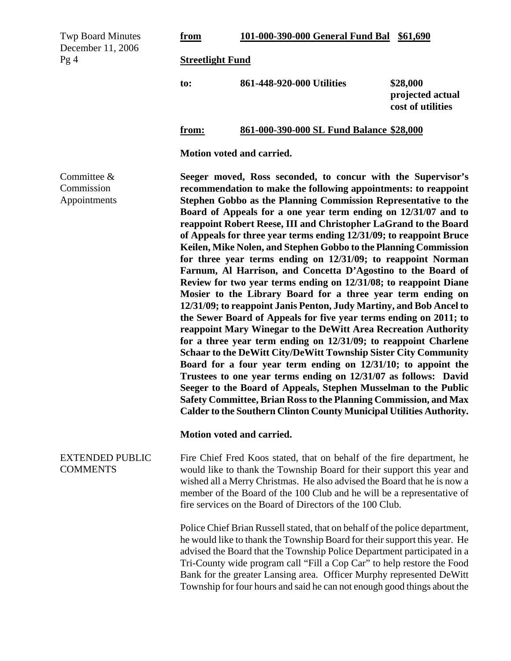| <b>Twp Board Minutes</b><br>December 11, 2006<br>Pg4 | from                                                                                                                                                                                                                                                                                                                                                                                                                                                                                                                                                                                                                                                                                                                                                                                                                                                                                                                                                                                                                                                                                                                                                                                                                                                                                                                                                                                                                                                                | 101-000-390-000 General Fund Bal                                                                                                                                                                                                                                                                                                                                                                                                                                  | \$61,690                                          |  |  |
|------------------------------------------------------|---------------------------------------------------------------------------------------------------------------------------------------------------------------------------------------------------------------------------------------------------------------------------------------------------------------------------------------------------------------------------------------------------------------------------------------------------------------------------------------------------------------------------------------------------------------------------------------------------------------------------------------------------------------------------------------------------------------------------------------------------------------------------------------------------------------------------------------------------------------------------------------------------------------------------------------------------------------------------------------------------------------------------------------------------------------------------------------------------------------------------------------------------------------------------------------------------------------------------------------------------------------------------------------------------------------------------------------------------------------------------------------------------------------------------------------------------------------------|-------------------------------------------------------------------------------------------------------------------------------------------------------------------------------------------------------------------------------------------------------------------------------------------------------------------------------------------------------------------------------------------------------------------------------------------------------------------|---------------------------------------------------|--|--|
|                                                      | <b>Streetlight Fund</b>                                                                                                                                                                                                                                                                                                                                                                                                                                                                                                                                                                                                                                                                                                                                                                                                                                                                                                                                                                                                                                                                                                                                                                                                                                                                                                                                                                                                                                             |                                                                                                                                                                                                                                                                                                                                                                                                                                                                   |                                                   |  |  |
|                                                      | to:                                                                                                                                                                                                                                                                                                                                                                                                                                                                                                                                                                                                                                                                                                                                                                                                                                                                                                                                                                                                                                                                                                                                                                                                                                                                                                                                                                                                                                                                 | 861-448-920-000 Utilities                                                                                                                                                                                                                                                                                                                                                                                                                                         | \$28,000<br>projected actual<br>cost of utilities |  |  |
|                                                      | from:                                                                                                                                                                                                                                                                                                                                                                                                                                                                                                                                                                                                                                                                                                                                                                                                                                                                                                                                                                                                                                                                                                                                                                                                                                                                                                                                                                                                                                                               | 861-000-390-000 SL Fund Balance \$28,000                                                                                                                                                                                                                                                                                                                                                                                                                          |                                                   |  |  |
|                                                      | Motion voted and carried.                                                                                                                                                                                                                                                                                                                                                                                                                                                                                                                                                                                                                                                                                                                                                                                                                                                                                                                                                                                                                                                                                                                                                                                                                                                                                                                                                                                                                                           |                                                                                                                                                                                                                                                                                                                                                                                                                                                                   |                                                   |  |  |
| Committee &<br>Commission<br>Appointments            | Seeger moved, Ross seconded, to concur with the Supervisor's<br>recommendation to make the following appointments: to reappoint<br>Stephen Gobbo as the Planning Commission Representative to the<br>Board of Appeals for a one year term ending on 12/31/07 and to<br>reappoint Robert Reese, III and Christopher LaGrand to the Board<br>of Appeals for three year terms ending 12/31/09; to reappoint Bruce<br>Keilen, Mike Nolen, and Stephen Gobbo to the Planning Commission<br>for three year terms ending on 12/31/09; to reappoint Norman<br>Farnum, Al Harrison, and Concetta D'Agostino to the Board of<br>Review for two year terms ending on 12/31/08; to reappoint Diane<br>Mosier to the Library Board for a three year term ending on<br>12/31/09; to reappoint Janis Penton, Judy Martiny, and Bob Ancel to<br>the Sewer Board of Appeals for five year terms ending on 2011; to<br>reappoint Mary Winegar to the DeWitt Area Recreation Authority<br>for a three year term ending on 12/31/09; to reappoint Charlene<br><b>Schaar to the DeWitt City/DeWitt Township Sister City Community</b><br>Board for a four year term ending on 12/31/10; to appoint the<br>Trustees to one year terms ending on 12/31/07 as follows: David<br>Seeger to the Board of Appeals, Stephen Musselman to the Public<br>Safety Committee, Brian Ross to the Planning Commission, and Max<br>Calder to the Southern Clinton County Municipal Utilities Authority. |                                                                                                                                                                                                                                                                                                                                                                                                                                                                   |                                                   |  |  |
|                                                      | Motion voted and carried.                                                                                                                                                                                                                                                                                                                                                                                                                                                                                                                                                                                                                                                                                                                                                                                                                                                                                                                                                                                                                                                                                                                                                                                                                                                                                                                                                                                                                                           |                                                                                                                                                                                                                                                                                                                                                                                                                                                                   |                                                   |  |  |
| <b>EXTENDED PUBLIC</b><br><b>COMMENTS</b>            |                                                                                                                                                                                                                                                                                                                                                                                                                                                                                                                                                                                                                                                                                                                                                                                                                                                                                                                                                                                                                                                                                                                                                                                                                                                                                                                                                                                                                                                                     | Fire Chief Fred Koos stated, that on behalf of the fire department, he<br>would like to thank the Township Board for their support this year and<br>wished all a Merry Christmas. He also advised the Board that he is now a<br>member of the Board of the 100 Club and he will be a representative of<br>fire services on the Board of Directors of the 100 Club.                                                                                                |                                                   |  |  |
|                                                      |                                                                                                                                                                                                                                                                                                                                                                                                                                                                                                                                                                                                                                                                                                                                                                                                                                                                                                                                                                                                                                                                                                                                                                                                                                                                                                                                                                                                                                                                     | Police Chief Brian Russell stated, that on behalf of the police department,<br>he would like to thank the Township Board for their support this year. He<br>advised the Board that the Township Police Department participated in a<br>Tri-County wide program call "Fill a Cop Car" to help restore the Food<br>Bank for the greater Lansing area. Officer Murphy represented DeWitt<br>Township for four hours and said he can not enough good things about the |                                                   |  |  |